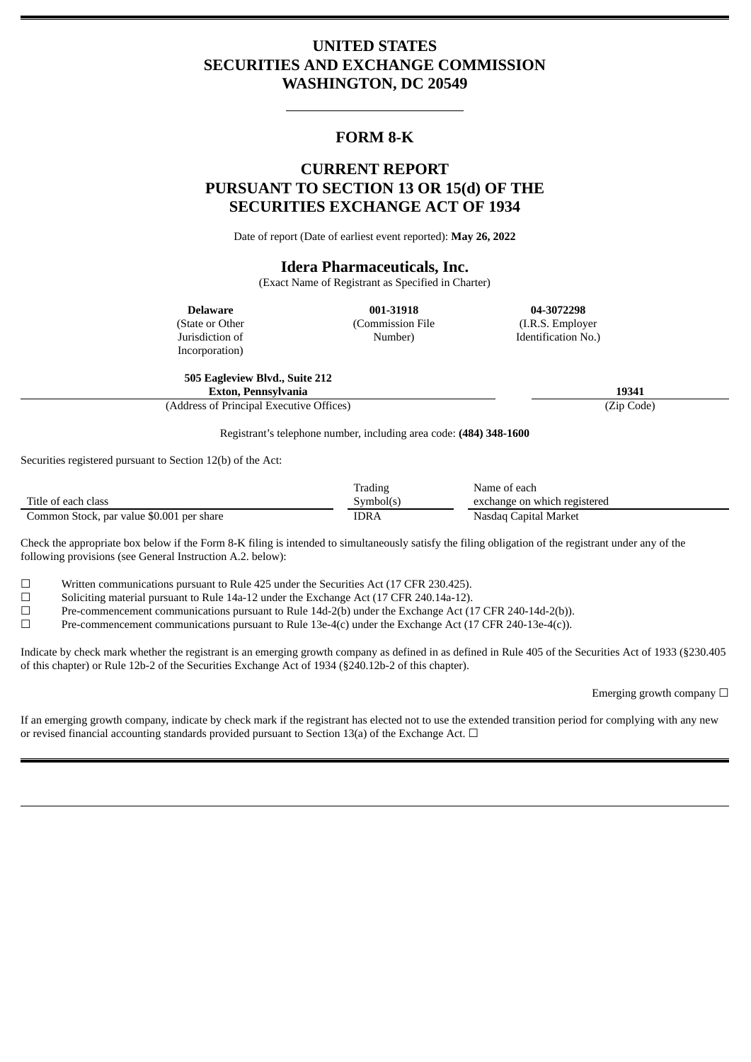# **UNITED STATES SECURITIES AND EXCHANGE COMMISSION WASHINGTON, DC 20549**

### **FORM 8-K**

## **CURRENT REPORT PURSUANT TO SECTION 13 OR 15(d) OF THE SECURITIES EXCHANGE ACT OF 1934**

Date of report (Date of earliest event reported): **May 26, 2022**

#### **Idera Pharmaceuticals, Inc.**

(Exact Name of Registrant as Specified in Charter)

**Delaware** (State or Other

Jurisdiction of Incorporation)

**001-31918** (Commission File Number)

**04-3072298** (I.R.S. Employer Identification No.)

**505 Eagleview Blvd., Suite 212 Exton, Pennsylvania 19341**

(Address of Principal Executive Offices) (Zip Code)

Registrant's telephone number, including area code: **(484) 348-1600**

Securities registered pursuant to Section 12(b) of the Act:

|                                           | Trading   | Name of each                 |
|-------------------------------------------|-----------|------------------------------|
| Title of each class                       | Symbol(s) | exchange on which registered |
| Common Stock, par value \$0.001 per share | IDRA      | Nasdag Capital Market        |

Check the appropriate box below if the Form 8-K filing is intended to simultaneously satisfy the filing obligation of the registrant under any of the following provisions (see General Instruction A.2. below):

 $\Box$  Written communications pursuant to Rule 425 under the Securities Act (17 CFR 230.425).

☐ Soliciting material pursuant to Rule 14a-12 under the Exchange Act (17 CFR 240.14a-12).

☐ Pre-commencement communications pursuant to Rule 14d-2(b) under the Exchange Act (17 CFR 240-14d-2(b)).

 $\Box$  Pre-commencement communications pursuant to Rule 13e-4(c) under the Exchange Act (17 CFR 240-13e-4(c)).

Indicate by check mark whether the registrant is an emerging growth company as defined in as defined in Rule 405 of the Securities Act of 1933 (§230.405 of this chapter) or Rule 12b-2 of the Securities Exchange Act of 1934 (§240.12b-2 of this chapter).

Emerging growth company  $\Box$ 

If an emerging growth company, indicate by check mark if the registrant has elected not to use the extended transition period for complying with any new or revised financial accounting standards provided pursuant to Section 13(a) of the Exchange Act.  $\Box$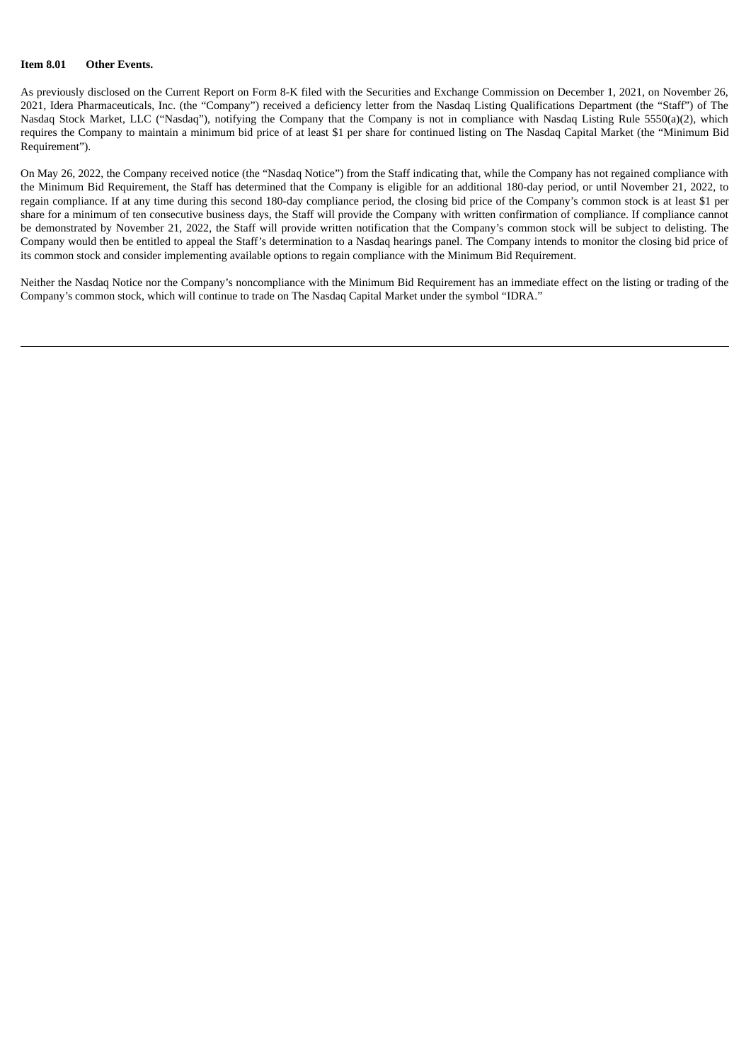#### **Item 8.01 Other Events.**

As previously disclosed on the Current Report on Form 8-K filed with the Securities and Exchange Commission on December 1, 2021, on November 26, 2021, Idera Pharmaceuticals, Inc. (the "Company") received a deficiency letter from the Nasdaq Listing Qualifications Department (the "Staff") of The Nasdaq Stock Market, LLC ("Nasdaq"), notifying the Company that the Company is not in compliance with Nasdaq Listing Rule 5550(a)(2), which requires the Company to maintain a minimum bid price of at least \$1 per share for continued listing on The Nasdaq Capital Market (the "Minimum Bid Requirement").

On May 26, 2022, the Company received notice (the "Nasdaq Notice") from the Staff indicating that, while the Company has not regained compliance with the Minimum Bid Requirement, the Staff has determined that the Company is eligible for an additional 180-day period, or until November 21, 2022, to regain compliance. If at any time during this second 180-day compliance period, the closing bid price of the Company's common stock is at least \$1 per share for a minimum of ten consecutive business days, the Staff will provide the Company with written confirmation of compliance. If compliance cannot be demonstrated by November 21, 2022, the Staff will provide written notification that the Company's common stock will be subject to delisting. The Company would then be entitled to appeal the Staff's determination to a Nasdaq hearings panel. The Company intends to monitor the closing bid price of its common stock and consider implementing available options to regain compliance with the Minimum Bid Requirement.

Neither the Nasdaq Notice nor the Company's noncompliance with the Minimum Bid Requirement has an immediate effect on the listing or trading of the Company's common stock, which will continue to trade on The Nasdaq Capital Market under the symbol "IDRA."